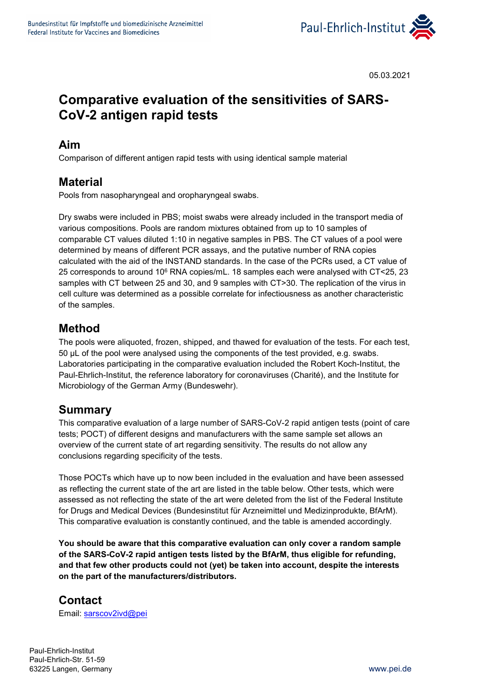

05.03.2021

# **Comparative evaluation of the sensitivities of SARS-CoV-2 antigen rapid tests**

#### **Aim**

Comparison of different antigen rapid tests with using identical sample material

#### **Material**

Pools from nasopharyngeal and oropharyngeal swabs.

Dry swabs were included in PBS; moist swabs were already included in the transport media of various compositions. Pools are random mixtures obtained from up to 10 samples of comparable CT values diluted 1:10 in negative samples in PBS. The CT values of a pool were determined by means of different PCR assays, and the putative number of RNA copies calculated with the aid of the INSTAND standards. In the case of the PCRs used, a CT value of 25 corresponds to around 106 RNA copies/mL. 18 samples each were analysed with CT<25, 23 samples with CT between 25 and 30, and 9 samples with CT>30. The replication of the virus in cell culture was determined as a possible correlate for infectiousness as another characteristic of the samples.

#### **Method**

The pools were aliquoted, frozen, shipped, and thawed for evaluation of the tests. For each test, 50 µL of the pool were analysed using the components of the test provided, e.g. swabs. Laboratories participating in the comparative evaluation included the Robert Koch-Institut, the Paul-Ehrlich-Institut, the reference laboratory for coronaviruses (Charité), and the Institute for Microbiology of the German Army (Bundeswehr).

#### **Summary**

This comparative evaluation of a large number of SARS-CoV-2 rapid antigen tests (point of care tests; POCT) of different designs and manufacturers with the same sample set allows an overview of the current state of art regarding sensitivity. The results do not allow any conclusions regarding specificity of the tests.

Those POCTs which have up to now been included in the evaluation and have been assessed as reflecting the current state of the art are listed in the table below. Other tests, which were assessed as not reflecting the state of the art were deleted from the list of the Federal Institute for Drugs and Medical Devices (Bundesinstitut für Arzneimittel und Medizinprodukte, BfArM). This comparative evaluation is constantly continued, and the table is amended accordingly.

**You should be aware that this comparative evaluation can only cover a random sample of the SARS-CoV-2 rapid antigen tests listed by the BfArM, thus eligible for refunding, and that few other products could not (yet) be taken into account, despite the interests on the part of the manufacturers/distributors.**

### **Contact**

Email: [sarscov2ivd@pei](mailto:sarscov2ivd@pei)

Paul-Ehrlich-Institut Paul-Ehrlich-Str. 51-59 63225 Langen, Germany [www.pei.de](http://www.pei.de/)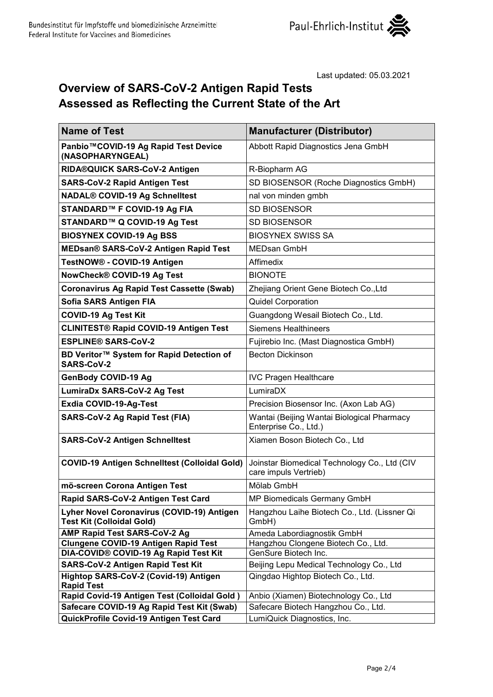

## **Overview of SARS-CoV-2 Antigen Rapid Tests Assessed as Reflecting the Current State of the Art**

| <b>Name of Test</b>                                                               | <b>Manufacturer (Distributor)</b>                                     |
|-----------------------------------------------------------------------------------|-----------------------------------------------------------------------|
| Panbio™COVID-19 Ag Rapid Test Device<br>(NASOPHARYNGEAL)                          | Abbott Rapid Diagnostics Jena GmbH                                    |
| RIDA®QUICK SARS-CoV-2 Antigen                                                     | R-Biopharm AG                                                         |
| <b>SARS-CoV-2 Rapid Antigen Test</b>                                              | SD BIOSENSOR (Roche Diagnostics GmbH)                                 |
| <b>NADAL® COVID-19 Ag Schnelltest</b>                                             | nal von minden gmbh                                                   |
| STANDARD™ F COVID-19 Ag FIA                                                       | <b>SD BIOSENSOR</b>                                                   |
| STANDARD™ Q COVID-19 Ag Test                                                      | <b>SD BIOSENSOR</b>                                                   |
| <b>BIOSYNEX COVID-19 Ag BSS</b>                                                   | <b>BIOSYNEX SWISS SA</b>                                              |
| MEDsan® SARS-CoV-2 Antigen Rapid Test                                             | <b>MEDsan GmbH</b>                                                    |
| TestNOW® - COVID-19 Antigen                                                       | Affimedix                                                             |
| NowCheck® COVID-19 Ag Test                                                        | <b>BIONOTE</b>                                                        |
| <b>Coronavirus Ag Rapid Test Cassette (Swab)</b>                                  | Zhejiang Orient Gene Biotech Co., Ltd                                 |
| Sofia SARS Antigen FIA                                                            | Quidel Corporation                                                    |
| <b>COVID-19 Ag Test Kit</b>                                                       | Guangdong Wesail Biotech Co., Ltd.                                    |
| <b>CLINITEST® Rapid COVID-19 Antigen Test</b>                                     | <b>Siemens Healthineers</b>                                           |
| <b>ESPLINE® SARS-CoV-2</b>                                                        | Fujirebio Inc. (Mast Diagnostica GmbH)                                |
| BD Veritor™ System for Rapid Detection of<br><b>SARS-CoV-2</b>                    | <b>Becton Dickinson</b>                                               |
| GenBody COVID-19 Ag                                                               | <b>IVC Pragen Healthcare</b>                                          |
| <b>LumiraDx SARS-CoV-2 Ag Test</b>                                                | LumiraDX                                                              |
| <b>Exdia COVID-19-Ag-Test</b>                                                     | Precision Biosensor Inc. (Axon Lab AG)                                |
| <b>SARS-CoV-2 Ag Rapid Test (FIA)</b>                                             | Wantai (Beijing Wantai Biological Pharmacy<br>Enterprise Co., Ltd.)   |
| <b>SARS-CoV-2 Antigen Schnelltest</b>                                             | Xiamen Boson Biotech Co., Ltd                                         |
| <b>COVID-19 Antigen Schnelltest (Colloidal Gold)</b>                              | Joinstar Biomedical Technology Co., Ltd (CIV<br>care impuls Vertrieb) |
| mö-screen Corona Antigen Test                                                     | Mölab GmbH                                                            |
| Rapid SARS-CoV-2 Antigen Test Card                                                | MP Biomedicals Germany GmbH                                           |
| Lyher Novel Coronavirus (COVID-19) Antigen<br><b>Test Kit (Colloidal Gold)</b>    | Hangzhou Laihe Biotech Co., Ltd. (Lissner Qi<br>GmbH)                 |
| <b>AMP Rapid Test SARS-CoV-2 Ag</b>                                               | Ameda Labordiagnostik GmbH                                            |
| <b>Clungene COVID-19 Antigen Rapid Test</b>                                       | Hangzhou Clongene Biotech Co., Ltd.                                   |
| DIA-COVID® COVID-19 Ag Rapid Test Kit                                             | GenSure Biotech Inc.                                                  |
| <b>SARS-CoV-2 Antigen Rapid Test Kit</b><br>Hightop SARS-CoV-2 (Covid-19) Antigen | Beijing Lepu Medical Technology Co., Ltd                              |
| <b>Rapid Test</b>                                                                 | Qingdao Hightop Biotech Co., Ltd.                                     |
| Rapid Covid-19 Antigen Test (Colloidal Gold)                                      | Anbio (Xiamen) Biotechnology Co., Ltd                                 |
| Safecare COVID-19 Ag Rapid Test Kit (Swab)                                        | Safecare Biotech Hangzhou Co., Ltd.                                   |
| QuickProfile Covid-19 Antigen Test Card                                           | LumiQuick Diagnostics, Inc.                                           |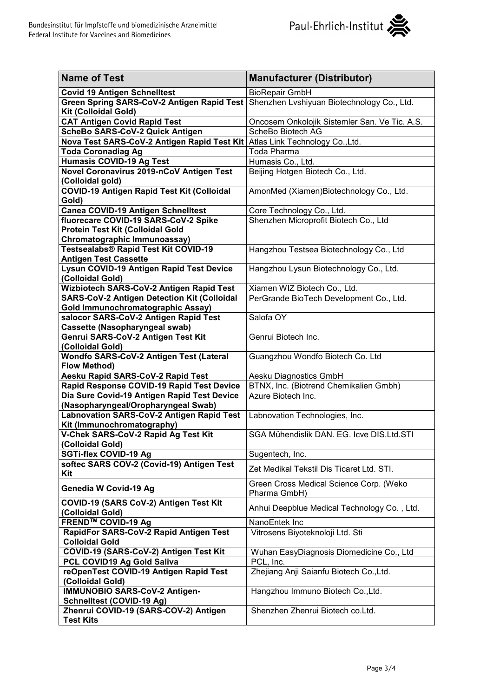

| <b>Name of Test</b>                                                       | <b>Manufacturer (Distributor)</b>                       |
|---------------------------------------------------------------------------|---------------------------------------------------------|
| <b>Covid 19 Antigen Schnelltest</b>                                       | <b>BioRepair GmbH</b>                                   |
| <b>Green Spring SARS-CoV-2 Antigen Rapid Test</b><br>Kit (Colloidal Gold) | Shenzhen Lvshiyuan Biotechnology Co., Ltd.              |
| <b>CAT Antigen Covid Rapid Test</b>                                       | Oncosem Onkolojik Sistemler San. Ve Tic. A.S.           |
| ScheBo SARS-CoV-2 Quick Antigen                                           | ScheBo Biotech AG                                       |
| Nova Test SARS-CoV-2 Antigen Rapid Test Kit                               | Atlas Link Technology Co., Ltd.                         |
| <b>Toda Coronadiag Ag</b>                                                 | Toda Pharma                                             |
| <b>Humasis COVID-19 Ag Test</b>                                           | Humasis Co., Ltd.                                       |
| <b>Novel Coronavirus 2019-nCoV Antigen Test</b>                           | Beijing Hotgen Biotech Co., Ltd.                        |
| (Colloidal gold)                                                          |                                                         |
| <b>COVID-19 Antigen Rapid Test Kit (Colloidal</b><br>Gold)                | AmonMed (Xiamen)Biotechnology Co., Ltd.                 |
| <b>Canea COVID-19 Antigen Schnelltest</b>                                 | Core Technology Co., Ltd.                               |
| fluorecare COVID-19 SARS-CoV-2 Spike                                      | Shenzhen Microprofit Biotech Co., Ltd                   |
| Protein Test Kit (Colloidal Gold                                          |                                                         |
| Chromatographic Immunoassay)                                              |                                                         |
| Testsealabs® Rapid Test Kit COVID-19                                      | Hangzhou Testsea Biotechnology Co., Ltd                 |
| <b>Antigen Test Cassette</b>                                              |                                                         |
| <b>Lysun COVID-19 Antigen Rapid Test Device</b>                           | Hangzhou Lysun Biotechnology Co., Ltd.                  |
| (Colloidal Gold)                                                          |                                                         |
| Wizbiotech SARS-CoV-2 Antigen Rapid Test                                  | Xiamen WIZ Biotech Co., Ltd.                            |
| <b>SARS-CoV-2 Antigen Detection Kit (Colloidal</b>                        | PerGrande BioTech Development Co., Ltd.                 |
| Gold Immunochromatographic Assay)                                         |                                                         |
| salocor SARS-CoV-2 Antigen Rapid Test                                     | Salofa OY                                               |
| <b>Cassette (Nasopharyngeal swab)</b>                                     |                                                         |
| Genrui SARS-CoV-2 Antigen Test Kit<br>(Colloidal Gold)                    | Genrui Biotech Inc.                                     |
| <b>Wondfo SARS-CoV-2 Antigen Test (Lateral</b><br><b>Flow Method)</b>     | Guangzhou Wondfo Biotech Co. Ltd                        |
| Aesku Rapid SARS-CoV-2 Rapid Test                                         | Aesku Diagnostics GmbH                                  |
| Rapid Response COVID-19 Rapid Test Device                                 | BTNX, Inc. (Biotrend Chemikalien Gmbh)                  |
| Dia Sure Covid-19 Antigen Rapid Test Device                               | Azure Biotech Inc.                                      |
| (Nasopharyngeal/Oropharyngeal Swab)                                       |                                                         |
| Labnovation SARS-CoV-2 Antigen Rapid Test                                 | Labnovation Technologies, Inc.                          |
| Kit (Immunochromatography)                                                |                                                         |
| V-Chek SARS-CoV-2 Rapid Ag Test Kit                                       | SGA Mühendislik DAN. EG. Icve DIS.Ltd.STI               |
| (Colloidal Gold)                                                          |                                                         |
| <b>SGTi-flex COVID-19 Ag</b>                                              | Sugentech, Inc.                                         |
| softec SARS COV-2 (Covid-19) Antigen Test<br>Kit                          | Zet Medikal Tekstil Dis Ticaret Ltd. STI.               |
| Genedia W Covid-19 Ag                                                     | Green Cross Medical Science Corp. (Weko<br>Pharma GmbH) |
| COVID-19 (SARS CoV-2) Antigen Test Kit<br>(Colloidal Gold)                | Anhui Deepblue Medical Technology Co., Ltd.             |
| FREND <sup>™</sup> COVID-19 Ag                                            | NanoEntek Inc                                           |
| RapidFor SARS-CoV-2 Rapid Antigen Test                                    | Vitrosens Biyoteknoloji Ltd. Sti                        |
| <b>Colloidal Gold</b>                                                     |                                                         |
| COVID-19 (SARS-CoV-2) Antigen Test Kit                                    | Wuhan EasyDiagnosis Diomedicine Co., Ltd                |
| PCL COVID19 Ag Gold Saliva                                                | PCL, Inc.                                               |
| reOpenTest COVID-19 Antigen Rapid Test<br>(Colloidal Gold)                | Zhejiang Anji Saianfu Biotech Co., Ltd.                 |
| <b>IMMUNOBIO SARS-CoV-2 Antigen-</b>                                      | Hangzhou Immuno Biotech Co., Ltd.                       |
| <b>Schnelltest (COVID-19 Ag)</b>                                          |                                                         |
| Zhenrui COVID-19 (SARS-COV-2) Antigen<br><b>Test Kits</b>                 | Shenzhen Zhenrui Biotech co.Ltd.                        |